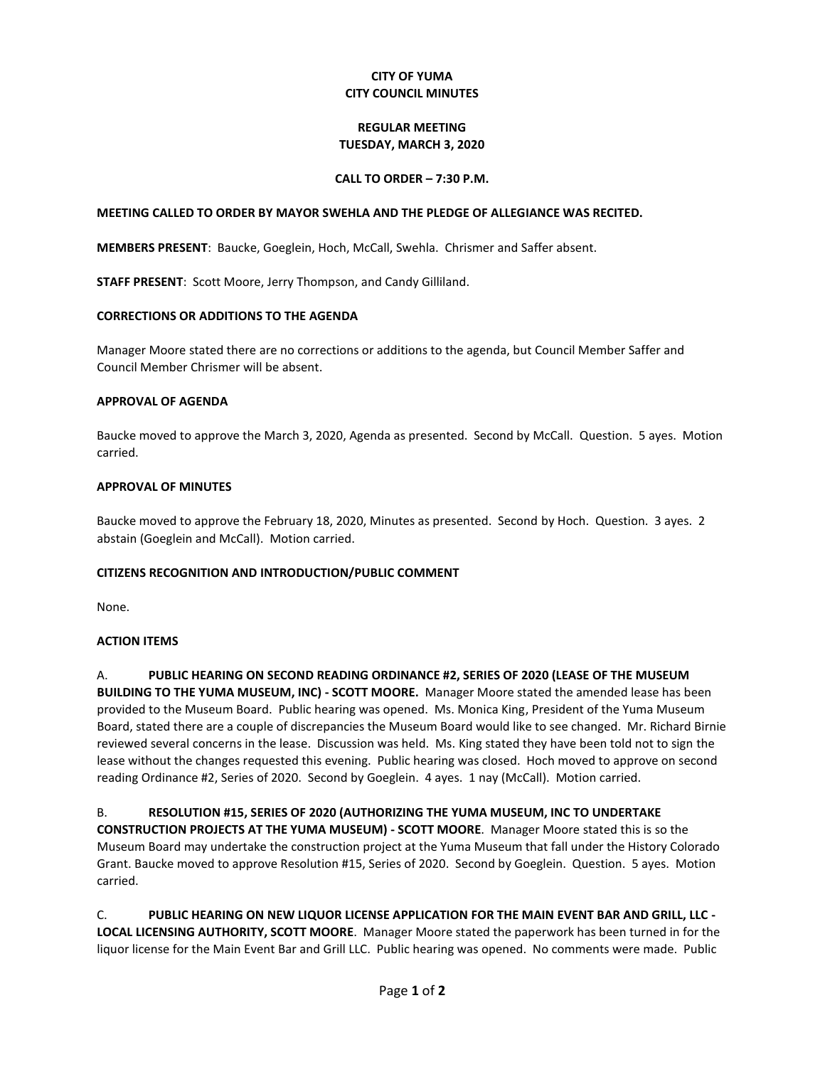## **CITY OF YUMA CITY COUNCIL MINUTES**

### **REGULAR MEETING TUESDAY, MARCH 3, 2020**

## **CALL TO ORDER – 7:30 P.M.**

### **MEETING CALLED TO ORDER BY MAYOR SWEHLA AND THE PLEDGE OF ALLEGIANCE WAS RECITED.**

**MEMBERS PRESENT**: Baucke, Goeglein, Hoch, McCall, Swehla. Chrismer and Saffer absent.

**STAFF PRESENT**: Scott Moore, Jerry Thompson, and Candy Gilliland.

#### **CORRECTIONS OR ADDITIONS TO THE AGENDA**

Manager Moore stated there are no corrections or additions to the agenda, but Council Member Saffer and Council Member Chrismer will be absent.

#### **APPROVAL OF AGENDA**

Baucke moved to approve the March 3, 2020, Agenda as presented. Second by McCall. Question. 5 ayes. Motion carried.

#### **APPROVAL OF MINUTES**

Baucke moved to approve the February 18, 2020, Minutes as presented. Second by Hoch. Question. 3 ayes. 2 abstain (Goeglein and McCall). Motion carried.

### **CITIZENS RECOGNITION AND INTRODUCTION/PUBLIC COMMENT**

None.

### **ACTION ITEMS**

A. **PUBLIC HEARING ON SECOND READING ORDINANCE #2, SERIES OF 2020 (LEASE OF THE MUSEUM BUILDING TO THE YUMA MUSEUM, INC) - SCOTT MOORE.** Manager Moore stated the amended lease has been provided to the Museum Board. Public hearing was opened. Ms. Monica King, President of the Yuma Museum Board, stated there are a couple of discrepancies the Museum Board would like to see changed. Mr. Richard Birnie reviewed several concerns in the lease. Discussion was held. Ms. King stated they have been told not to sign the lease without the changes requested this evening. Public hearing was closed. Hoch moved to approve on second reading Ordinance #2, Series of 2020. Second by Goeglein. 4 ayes. 1 nay (McCall). Motion carried.

B. **RESOLUTION #15, SERIES OF 2020 (AUTHORIZING THE YUMA MUSEUM, INC TO UNDERTAKE CONSTRUCTION PROJECTS AT THE YUMA MUSEUM) - SCOTT MOORE**. Manager Moore stated this is so the Museum Board may undertake the construction project at the Yuma Museum that fall under the History Colorado Grant. Baucke moved to approve Resolution #15, Series of 2020. Second by Goeglein. Question. 5 ayes. Motion carried.

C. **PUBLIC HEARING ON NEW LIQUOR LICENSE APPLICATION FOR THE MAIN EVENT BAR AND GRILL, LLC - LOCAL LICENSING AUTHORITY, SCOTT MOORE**. Manager Moore stated the paperwork has been turned in for the liquor license for the Main Event Bar and Grill LLC. Public hearing was opened. No comments were made. Public